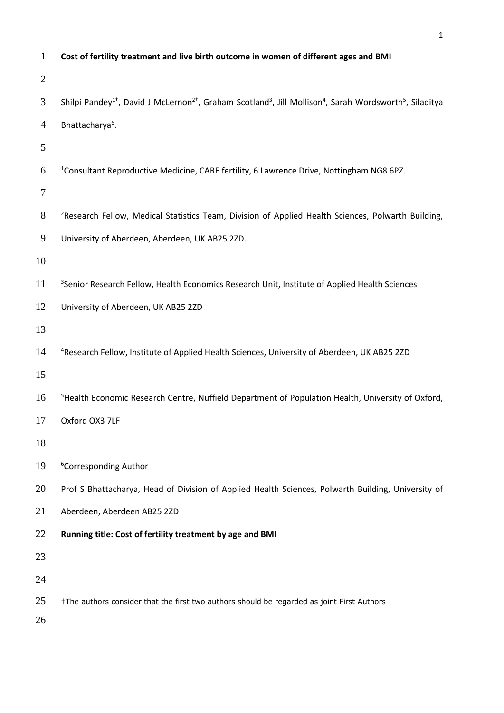| $\mathbf{1}$   | Cost of fertility treatment and live birth outcome in women of different ages and BMI                                                                                |
|----------------|----------------------------------------------------------------------------------------------------------------------------------------------------------------------|
| $\overline{2}$ |                                                                                                                                                                      |
| $\mathfrak{Z}$ | Shilpi Pandey <sup>1†</sup> , David J McLernon <sup>2†</sup> , Graham Scotland <sup>3</sup> , Jill Mollison <sup>4</sup> , Sarah Wordsworth <sup>5</sup> , Siladitya |
| $\overline{4}$ | Bhattacharya <sup>6</sup> .                                                                                                                                          |
| 5              |                                                                                                                                                                      |
| 6              | <sup>1</sup> Consultant Reproductive Medicine, CARE fertility, 6 Lawrence Drive, Nottingham NG8 6PZ.                                                                 |
| $\tau$         |                                                                                                                                                                      |
| $8\,$          | <sup>2</sup> Research Fellow, Medical Statistics Team, Division of Applied Health Sciences, Polwarth Building,                                                       |
| 9              | University of Aberdeen, Aberdeen, UK AB25 2ZD.                                                                                                                       |
| 10             |                                                                                                                                                                      |
| 11             | <sup>3</sup> Senior Research Fellow, Health Economics Research Unit, Institute of Applied Health Sciences                                                            |
| 12             | University of Aberdeen, UK AB25 2ZD                                                                                                                                  |
| 13             |                                                                                                                                                                      |
| 14             | <sup>4</sup> Research Fellow, Institute of Applied Health Sciences, University of Aberdeen, UK AB25 2ZD                                                              |
| 15             |                                                                                                                                                                      |
| 16             | <sup>5</sup> Health Economic Research Centre, Nuffield Department of Population Health, University of Oxford,                                                        |
| 17             | Oxford OX3 7LF                                                                                                                                                       |
| 18             |                                                                                                                                                                      |
| 19             | <sup>6</sup> Corresponding Author                                                                                                                                    |
| 20             | Prof S Bhattacharya, Head of Division of Applied Health Sciences, Polwarth Building, University of                                                                   |
| 21             | Aberdeen, Aberdeen AB25 2ZD                                                                                                                                          |
| 22             | Running title: Cost of fertility treatment by age and BMI                                                                                                            |
| 23             |                                                                                                                                                                      |
| 24             |                                                                                                                                                                      |
| 25             | †The authors consider that the first two authors should be regarded as joint First Authors                                                                           |
| 26             |                                                                                                                                                                      |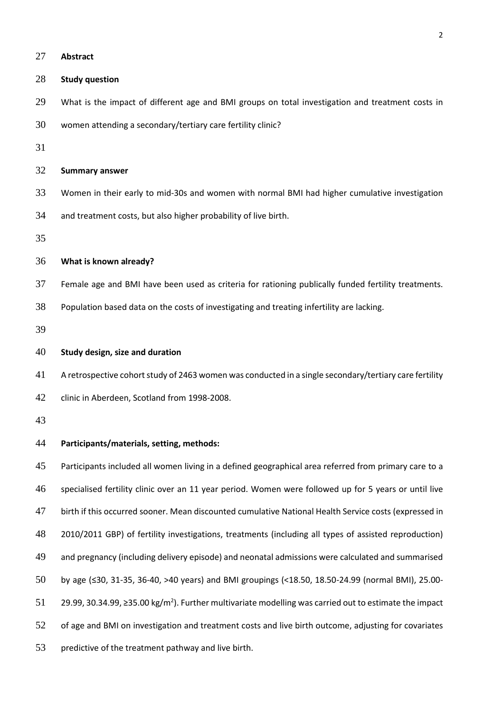| 27 | <b>Abstract</b>                                                                                                    |
|----|--------------------------------------------------------------------------------------------------------------------|
| 28 | <b>Study question</b>                                                                                              |
| 29 | What is the impact of different age and BMI groups on total investigation and treatment costs in                   |
| 30 | women attending a secondary/tertiary care fertility clinic?                                                        |
| 31 |                                                                                                                    |
| 32 | <b>Summary answer</b>                                                                                              |
| 33 | Women in their early to mid-30s and women with normal BMI had higher cumulative investigation                      |
| 34 | and treatment costs, but also higher probability of live birth.                                                    |
| 35 |                                                                                                                    |
| 36 | What is known already?                                                                                             |
| 37 | Female age and BMI have been used as criteria for rationing publically funded fertility treatments.                |
| 38 | Population based data on the costs of investigating and treating infertility are lacking.                          |
| 39 |                                                                                                                    |
| 40 | Study design, size and duration                                                                                    |
| 41 | A retrospective cohort study of 2463 women was conducted in a single secondary/tertiary care fertility             |
| 42 | clinic in Aberdeen, Scotland from 1998-2008.                                                                       |
| 43 |                                                                                                                    |
| 44 | Participants/materials, setting, methods:                                                                          |
| 45 | Participants included all women living in a defined geographical area referred from primary care to a              |
| 46 | specialised fertility clinic over an 11 year period. Women were followed up for 5 years or until live              |
| 47 | birth if this occurred sooner. Mean discounted cumulative National Health Service costs (expressed in              |
| 48 | 2010/2011 GBP) of fertility investigations, treatments (including all types of assisted reproduction)              |
| 49 | and pregnancy (including delivery episode) and neonatal admissions were calculated and summarised                  |
| 50 | by age (≤30, 31-35, 36-40, >40 years) and BMI groupings (<18.50, 18.50-24.99 (normal BMI), 25.00-                  |
| 51 | 29.99, 30.34.99, ≥35.00 kg/m <sup>2</sup> ). Further multivariate modelling was carried out to estimate the impact |
| 52 | of age and BMI on investigation and treatment costs and live birth outcome, adjusting for covariates               |
|    |                                                                                                                    |

predictive of the treatment pathway and live birth.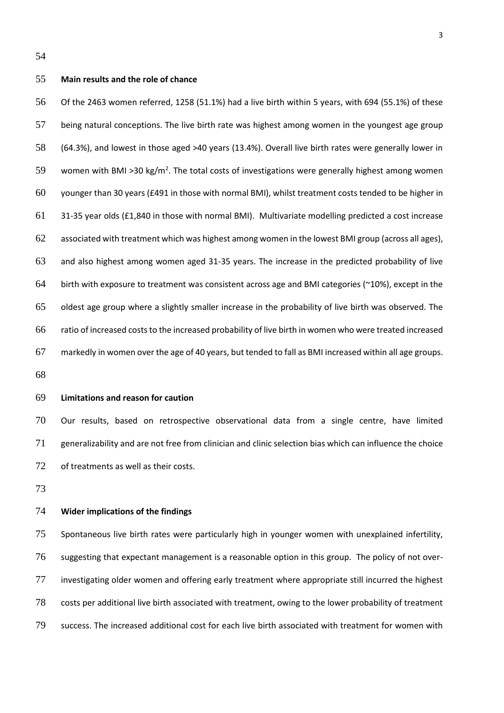## **Main results and the role of chance**

 Of the 2463 women referred, 1258 (51.1%) had a live birth within 5 years, with 694 (55.1%) of these being natural conceptions. The live birth rate was highest among women in the youngest age group (64.3%), and lowest in those aged >40 years (13.4%). Overall live birth rates were generally lower in 59 women with BMI >30 kg/m<sup>2</sup>. The total costs of investigations were generally highest among women younger than 30 years (£491 in those with normal BMI), whilst treatment costs tended to be higher in 31-35 year olds (£1,840 in those with normal BMI). Multivariate modelling predicted a cost increase associated with treatment which was highest among women in the lowest BMI group (across all ages), and also highest among women aged 31-35 years. The increase in the predicted probability of live 64 birth with exposure to treatment was consistent across age and BMI categories ( $\approx$ 10%), except in the oldest age group where a slightly smaller increase in the probability of live birth was observed. The ratio of increased costs to the increased probability of live birth in women who were treated increased markedly in women over the age of 40 years, but tended to fall as BMI increased within all age groups.

## **Limitations and reason for caution**

 Our results, based on retrospective observational data from a single centre, have limited generalizability and are not free from clinician and clinic selection bias which can influence the choice of treatments as well as their costs.

## **Wider implications of the findings**

 Spontaneous live birth rates were particularly high in younger women with unexplained infertility, suggesting that expectant management is a reasonable option in this group. The policy of not over- investigating older women and offering early treatment where appropriate still incurred the highest costs per additional live birth associated with treatment, owing to the lower probability of treatment success. The increased additional cost for each live birth associated with treatment for women with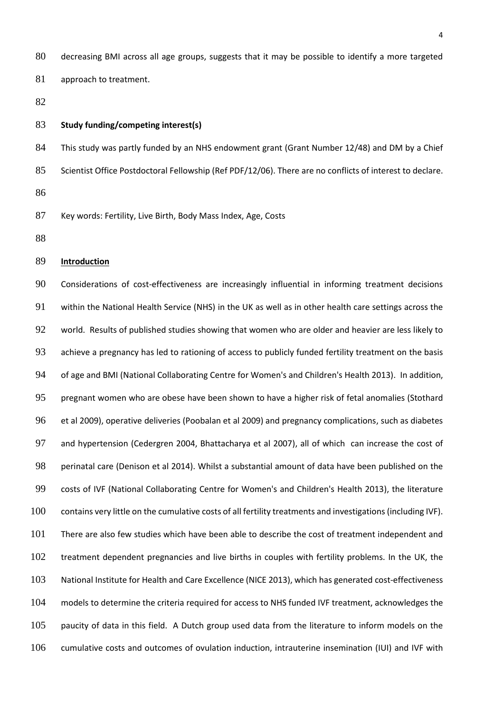decreasing BMI across all age groups, suggests that it may be possible to identify a more targeted 81 approach to treatment.

## **Study funding/competing interest(s)**

 This study was partly funded by an NHS endowment grant (Grant Number 12/48) and DM by a Chief Scientist Office Postdoctoral Fellowship (Ref PDF/12/06). There are no conflicts of interest to declare. 

Key words: Fertility, Live Birth, Body Mass Index, Age, Costs

## **Introduction**

 Considerations of cost-effectiveness are increasingly influential in informing treatment decisions within the National Health Service (NHS) in the UK as well as in other health care settings across the world. Results of published studies showing that women who are older and heavier are less likely to 93 achieve a pregnancy has led to rationing of access to publicly funded fertility treatment on the basis of age and BMI (National Collaborating Centre for Women's and Children's Health 2013). In addition, pregnant women who are obese have been shown to have a higher risk of fetal anomalies (Stothard et al 2009), operative deliveries (Poobalan et al 2009) and pregnancy complications, such as diabetes and hypertension (Cedergren 2004, Bhattacharya et al 2007), all of which can increase the cost of perinatal care (Denison et al 2014). Whilst a substantial amount of data have been published on the costs of IVF (National Collaborating Centre for Women's and Children's Health 2013), the literature contains very little on the cumulative costs of all fertility treatments and investigations (including IVF). There are also few studies which have been able to describe the cost of treatment independent and treatment dependent pregnancies and live births in couples with fertility problems. In the UK, the National Institute for Health and Care Excellence (NICE 2013), which has generated cost-effectiveness models to determine the criteria required for access to NHS funded IVF treatment, acknowledges the paucity of data in this field. A Dutch group used data from the literature to inform models on the cumulative costs and outcomes of ovulation induction, intrauterine insemination (IUI) and IVF with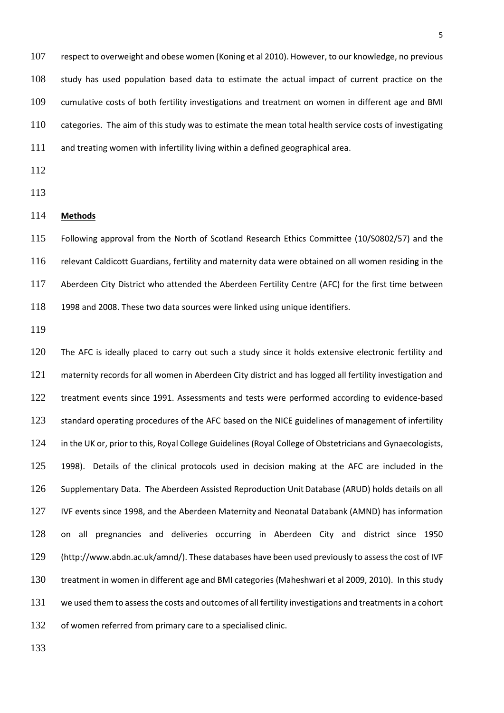respect to overweight and obese women (Koning et al 2010). However, to our knowledge, no previous study has used population based data to estimate the actual impact of current practice on the cumulative costs of both fertility investigations and treatment on women in different age and BMI categories. The aim of this study was to estimate the mean total health service costs of investigating and treating women with infertility living within a defined geographical area.

- 
- 
- **Methods**

 Following approval from the North of Scotland Research Ethics Committee (10/S0802/57) and the relevant Caldicott Guardians, fertility and maternity data were obtained on all women residing in the Aberdeen City District who attended the Aberdeen Fertility Centre (AFC) for the first time between 1998 and 2008. These two data sources were linked using unique identifiers.

120 The AFC is ideally placed to carry out such a study since it holds extensive electronic fertility and maternity records for all women in Aberdeen City district and has logged all fertility investigation and treatment events since 1991. Assessments and tests were performed according to evidence-based 123 standard operating procedures of the AFC based on the NICE guidelines of management of infertility in the UK or, prior to this, Royal College Guidelines (Royal College of Obstetricians and Gynaecologists, 1998). Details of the clinical protocols used in decision making at the AFC are included in the Supplementary Data. The Aberdeen Assisted Reproduction UnitDatabase (ARUD) holds details on all IVF events since 1998, and the Aberdeen Maternity and Neonatal Databank (AMND) has information on all pregnancies and deliveries occurring in Aberdeen City and district since 1950 (http://www.abdn.ac.uk/amnd/). These databases have been used previously to assess the cost of IVF treatment in women in different age and BMI categories (Maheshwari et al 2009, 2010). In this study we used them to assess the costs and outcomes of all fertility investigations and treatments in a cohort of women referred from primary care to a specialised clinic.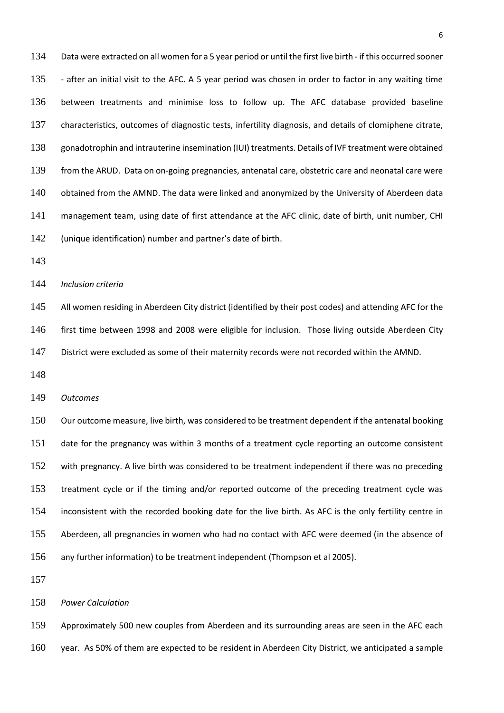Data were extracted on all women for a 5 year period or until the first live birth - if this occurred sooner 135 - after an initial visit to the AFC. A 5 year period was chosen in order to factor in any waiting time between treatments and minimise loss to follow up. The AFC database provided baseline characteristics, outcomes of diagnostic tests, infertility diagnosis, and details of clomiphene citrate, gonadotrophin and intrauterine insemination (IUI) treatments. Details of IVF treatment were obtained from the ARUD. Data on on-going pregnancies, antenatal care, obstetric care and neonatal care were 140 obtained from the AMND. The data were linked and anonymized by the University of Aberdeen data management team, using date of first attendance at the AFC clinic, date of birth, unit number, CHI (unique identification) number and partner's date of birth.

*Inclusion criteria*

145 All women residing in Aberdeen City district (identified by their post codes) and attending AFC for the first time between 1998 and 2008 were eligible for inclusion. Those living outside Aberdeen City District were excluded as some of their maternity records were not recorded within the AMND.

*Outcomes*

 Our outcome measure, live birth, was considered to be treatment dependent if the antenatal booking date for the pregnancy was within 3 months of a treatment cycle reporting an outcome consistent with pregnancy. A live birth was considered to be treatment independent if there was no preceding treatment cycle or if the timing and/or reported outcome of the preceding treatment cycle was inconsistent with the recorded booking date for the live birth. As AFC is the only fertility centre in Aberdeen, all pregnancies in women who had no contact with AFC were deemed (in the absence of any further information) to be treatment independent (Thompson et al 2005).

*Power Calculation*

 Approximately 500 new couples from Aberdeen and its surrounding areas are seen in the AFC each year. As 50% of them are expected to be resident in Aberdeen City District, we anticipated a sample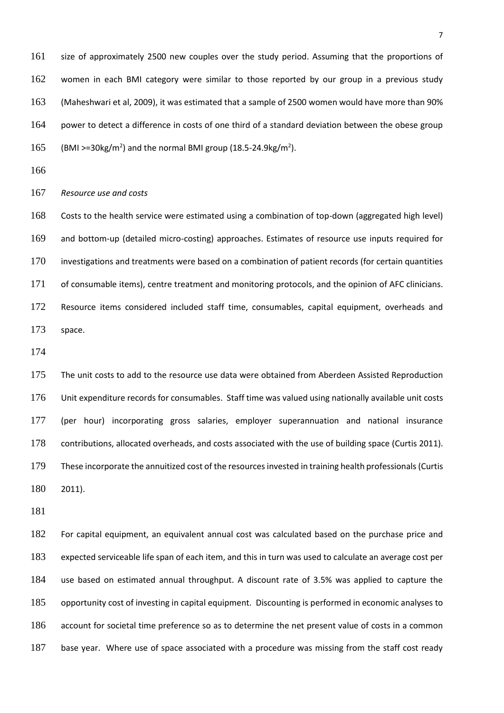size of approximately 2500 new couples over the study period. Assuming that the proportions of women in each BMI category were similar to those reported by our group in a previous study (Maheshwari et al, 2009), it was estimated that a sample of 2500 women would have more than 90% power to detect a difference in costs of one third of a standard deviation between the obese group 165 (BMI >=30kg/m<sup>2</sup>) and the normal BMI group (18.5-24.9kg/m<sup>2</sup>).

*Resource use and costs*

 Costs to the health service were estimated using a combination of top-down (aggregated high level) and bottom-up (detailed micro-costing) approaches. Estimates of resource use inputs required for investigations and treatments were based on a combination of patient records (for certain quantities of consumable items), centre treatment and monitoring protocols, and the opinion of AFC clinicians. 172 Resource items considered included staff time, consumables, capital equipment, overheads and space.

175 The unit costs to add to the resource use data were obtained from Aberdeen Assisted Reproduction Unit expenditure records for consumables. Staff time was valued using nationally available unit costs (per hour) incorporating gross salaries, employer superannuation and national insurance contributions, allocated overheads, and costs associated with the use of building space (Curtis 2011). These incorporate the annuitized cost of the resources invested in training health professionals(Curtis 2011).

 For capital equipment, an equivalent annual cost was calculated based on the purchase price and expected serviceable life span of each item, and this in turn was used to calculate an average cost per use based on estimated annual throughput. A discount rate of 3.5% was applied to capture the opportunity cost of investing in capital equipment. Discounting is performed in economic analyses to account for societal time preference so as to determine the net present value of costs in a common base year. Where use of space associated with a procedure was missing from the staff cost ready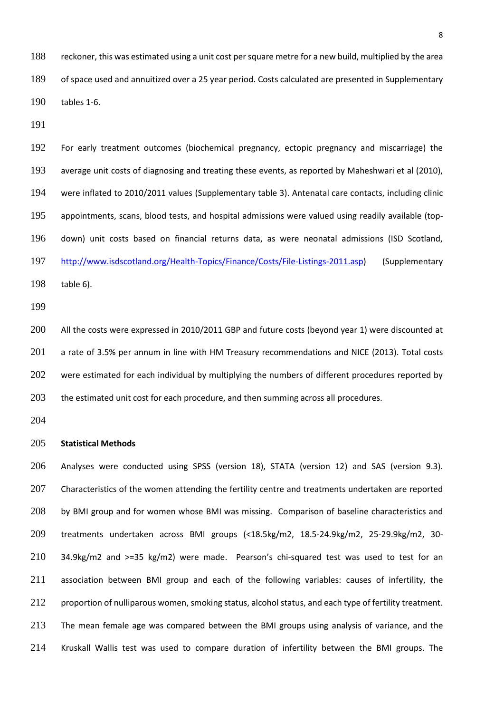reckoner, this was estimated using a unit cost per square metre for a new build, multiplied by the area of space used and annuitized over a 25 year period. Costs calculated are presented in Supplementary tables 1-6.

 For early treatment outcomes (biochemical pregnancy, ectopic pregnancy and miscarriage) the average unit costs of diagnosing and treating these events, as reported by Maheshwari et al (2010), were inflated to 2010/2011 values (Supplementary table 3). Antenatal care contacts, including clinic appointments, scans, blood tests, and hospital admissions were valued using readily available (top- down) unit costs based on financial returns data, as were neonatal admissions (ISD Scotland, [http://www.isdscotland.org/Health-Topics/Finance/Costs/File-Listings-2011.asp\)](http://www.isdscotland.org/Health-Topics/Finance/Costs/File-Listings-2011.asp) (Supplementary table 6).

 All the costs were expressed in 2010/2011 GBP and future costs (beyond year 1) were discounted at 201 a rate of 3.5% per annum in line with HM Treasury recommendations and NICE (2013). Total costs 202 were estimated for each individual by multiplying the numbers of different procedures reported by 203 the estimated unit cost for each procedure, and then summing across all procedures.

## **Statistical Methods**

 Analyses were conducted using SPSS (version 18), STATA (version 12) and SAS (version 9.3). 207 Characteristics of the women attending the fertility centre and treatments undertaken are reported 208 by BMI group and for women whose BMI was missing. Comparison of baseline characteristics and treatments undertaken across BMI groups (<18.5kg/m2, 18.5-24.9kg/m2, 25-29.9kg/m2, 30- 34.9kg/m2 and >=35 kg/m2) were made. Pearson's chi-squared test was used to test for an association between BMI group and each of the following variables: causes of infertility, the 212 proportion of nulliparous women, smoking status, alcohol status, and each type of fertility treatment. 213 The mean female age was compared between the BMI groups using analysis of variance, and the Kruskall Wallis test was used to compare duration of infertility between the BMI groups. The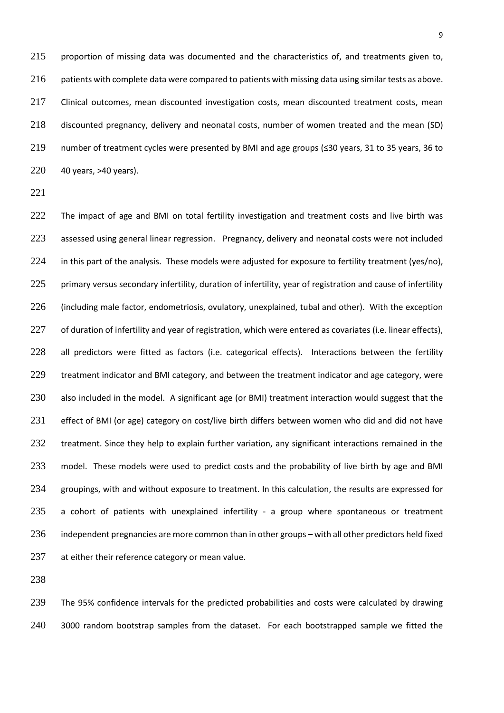215 proportion of missing data was documented and the characteristics of, and treatments given to, 216 patients with complete data were compared to patients with missing data using similar tests as above. 217 Clinical outcomes, mean discounted investigation costs, mean discounted treatment costs, mean 218 discounted pregnancy, delivery and neonatal costs, number of women treated and the mean (SD) 219 number of treatment cycles were presented by BMI and age groups (≤30 years, 31 to 35 years, 36 to 220 40 years, >40 years).

221

222 The impact of age and BMI on total fertility investigation and treatment costs and live birth was 223 assessed using general linear regression. Pregnancy, delivery and neonatal costs were not included 224 in this part of the analysis. These models were adjusted for exposure to fertility treatment (yes/no), 225 primary versus secondary infertility, duration of infertility, year of registration and cause of infertility 226 (including male factor, endometriosis, ovulatory, unexplained, tubal and other). With the exception 227 of duration of infertility and year of registration, which were entered as covariates (i.e. linear effects), 228 all predictors were fitted as factors (i.e. categorical effects). Interactions between the fertility 229 treatment indicator and BMI category, and between the treatment indicator and age category, were 230 also included in the model. A significant age (or BMI) treatment interaction would suggest that the 231 effect of BMI (or age) category on cost/live birth differs between women who did and did not have 232 treatment. Since they help to explain further variation, any significant interactions remained in the 233 model. These models were used to predict costs and the probability of live birth by age and BMI 234 groupings, with and without exposure to treatment. In this calculation, the results are expressed for 235 a cohort of patients with unexplained infertility - a group where spontaneous or treatment 236 independent pregnancies are more common than in other groups – with all other predictors held fixed 237 at either their reference category or mean value.

238

239 The 95% confidence intervals for the predicted probabilities and costs were calculated by drawing 240 3000 random bootstrap samples from the dataset. For each bootstrapped sample we fitted the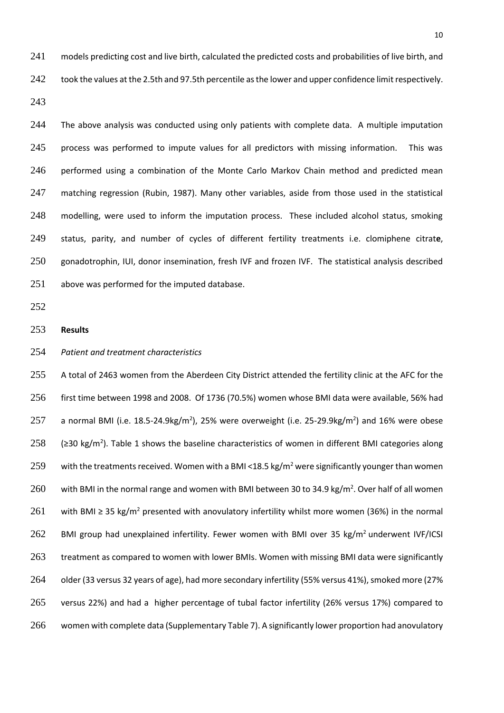241 models predicting cost and live birth, calculated the predicted costs and probabilities of live birth, and 242 took the values at the 2.5th and 97.5th percentile as the lower and upper confidence limit respectively.

243

244 The above analysis was conducted using only patients with complete data. A multiple imputation 245 process was performed to impute values for all predictors with missing information. This was performed using a combination of the Monte Carlo Markov Chain method and predicted mean matching regression (Rubin, 1987). Many other variables, aside from those used in the statistical modelling, were used to inform the imputation process. These included alcohol status, smoking status, parity, and number of cycles of different fertility treatments i.e. clomiphene citrat**e**, gonadotrophin, IUI, donor insemination, fresh IVF and frozen IVF. The statistical analysis described above was performed for the imputed database.

252

## 253 **Results**

## 254 *Patient and treatment characteristics*

255 A total of 2463 women from the Aberdeen City District attended the fertility clinic at the AFC for the 256 first time between 1998 and 2008. Of 1736 (70.5%) women whose BMI data were available, 56% had 257 a normal BMI (i.e. 18.5-24.9kg/m<sup>2</sup>), 25% were overweight (i.e. 25-29.9kg/m<sup>2</sup>) and 16% were obese 258 (≥30 kg/m<sup>2</sup>). Table 1 shows the baseline characteristics of women in different BMI categories along 259 with the treatments received. Women with a BMI <18.5 kg/m<sup>2</sup> were significantly younger than women 260 with BMI in the normal range and women with BMI between 30 to 34.9 kg/m<sup>2</sup>. Over half of all women 261 with BMI ≥ 35 kg/m<sup>2</sup> presented with anovulatory infertility whilst more women (36%) in the normal 262 BMI group had unexplained infertility. Fewer women with BMI over 35 kg/m<sup>2</sup> underwent IVF/ICSI 263 treatment as compared to women with lower BMIs. Women with missing BMI data were significantly 264 older (33 versus 32 years of age), had more secondary infertility (55% versus 41%), smoked more (27% 265 versus 22%) and had a higher percentage of tubal factor infertility (26% versus 17%) compared to 266 women with complete data (Supplementary Table 7). A significantly lower proportion had anovulatory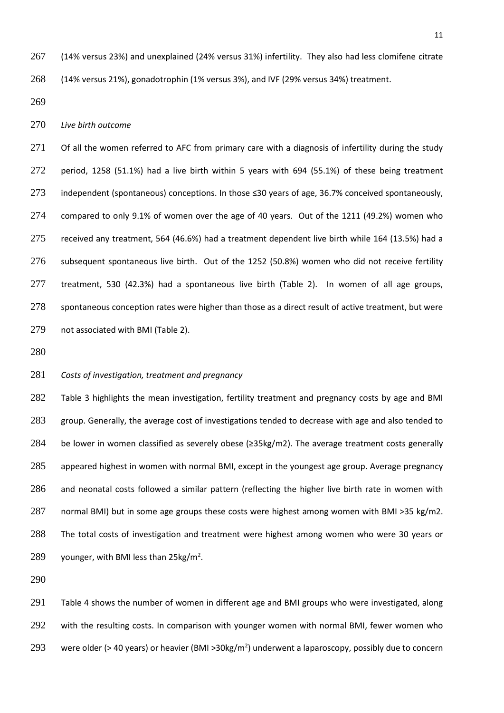(14% versus 23%) and unexplained (24% versus 31%) infertility. They also had less clomifene citrate (14% versus 21%), gonadotrophin (1% versus 3%), and IVF (29% versus 34%) treatment.

#### *Live birth outcome*

271 Of all the women referred to AFC from primary care with a diagnosis of infertility during the study period, 1258 (51.1%) had a live birth within 5 years with 694 (55.1%) of these being treatment independent (spontaneous) conceptions. In those ≤30 years of age, 36.7% conceived spontaneously, compared to only 9.1% of women over the age of 40 years. Out of the 1211 (49.2%) women who received any treatment, 564 (46.6%) had a treatment dependent live birth while 164 (13.5%) had a subsequent spontaneous live birth. Out of the 1252 (50.8%) women who did not receive fertility treatment, 530 (42.3%) had a spontaneous live birth (Table 2). In women of all age groups, 278 spontaneous conception rates were higher than those as a direct result of active treatment, but were not associated with BMI (Table 2).

## *Costs of investigation, treatment and pregnancy*

 Table 3 highlights the mean investigation, fertility treatment and pregnancy costs by age and BMI 283 group. Generally, the average cost of investigations tended to decrease with age and also tended to be lower in women classified as severely obese (≥35kg/m2). The average treatment costs generally appeared highest in women with normal BMI, except in the youngest age group. Average pregnancy and neonatal costs followed a similar pattern (reflecting the higher live birth rate in women with normal BMI) but in some age groups these costs were highest among women with BMI >35 kg/m2. The total costs of investigation and treatment were highest among women who were 30 years or 289 younger, with BMI less than  $25\text{kg/m}^2$ .

 Table 4 shows the number of women in different age and BMI groups who were investigated, along 292 with the resulting costs. In comparison with younger women with normal BMI, fewer women who 293 were older (> 40 years) or heavier (BMI > 30kg/m<sup>2</sup>) underwent a laparoscopy, possibly due to concern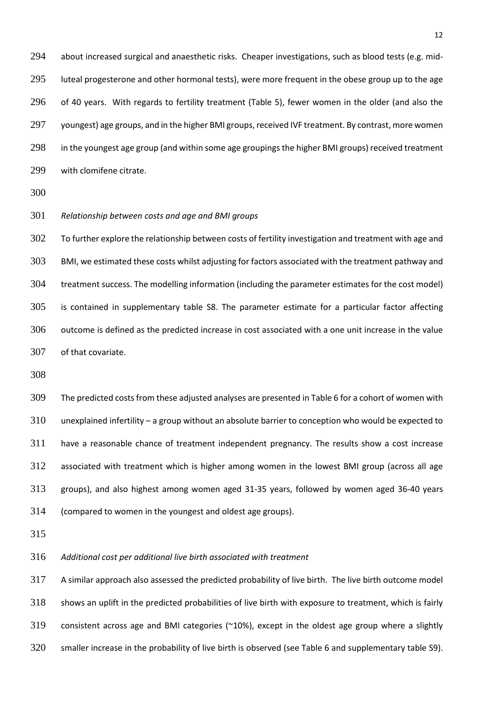about increased surgical and anaesthetic risks. Cheaper investigations, such as blood tests (e.g. mid- luteal progesterone and other hormonal tests), were more frequent in the obese group up to the age of 40 years. With regards to fertility treatment (Table 5), fewer women in the older (and also the youngest) age groups, and in the higher BMI groups, received IVF treatment. By contrast, more women in the youngest age group (and within some age groupings the higher BMI groups) received treatment with clomifene citrate.

*Relationship between costs and age and BMI groups*

302 To further explore the relationship between costs of fertility investigation and treatment with age and BMI, we estimated these costs whilst adjusting for factors associated with the treatment pathway and treatment success. The modelling information (including the parameter estimates for the cost model) is contained in supplementary table S8. The parameter estimate for a particular factor affecting outcome is defined as the predicted increase in cost associated with a one unit increase in the value of that covariate.

 The predicted costs from these adjusted analyses are presented in Table 6 for a cohort of women with unexplained infertility – a group without an absolute barrier to conception who would be expected to have a reasonable chance of treatment independent pregnancy. The results show a cost increase associated with treatment which is higher among women in the lowest BMI group (across all age groups), and also highest among women aged 31-35 years, followed by women aged 36-40 years (compared to women in the youngest and oldest age groups).

*Additional cost per additional live birth associated with treatment*

 A similar approach also assessed the predicted probability of live birth. The live birth outcome model shows an uplift in the predicted probabilities of live birth with exposure to treatment, which is fairly consistent across age and BMI categories (~10%), except in the oldest age group where a slightly smaller increase in the probability of live birth is observed (see Table 6 and supplementary table S9).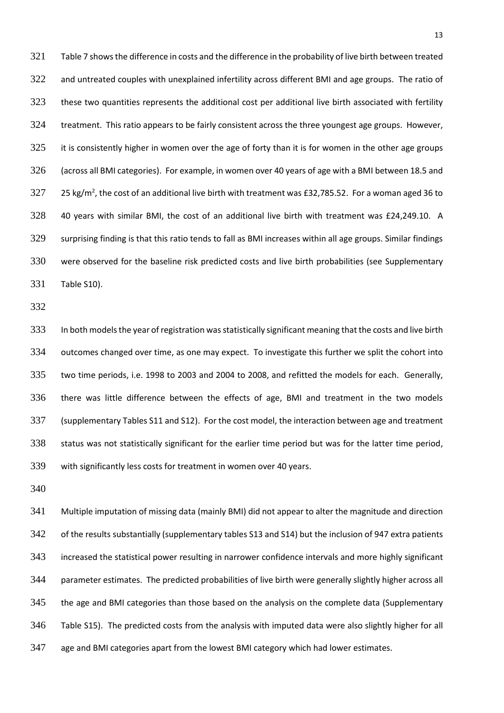Table 7 shows the difference in costs and the difference in the probability of live birth between treated 322 and untreated couples with unexplained infertility across different BMI and age groups. The ratio of 323 these two quantities represents the additional cost per additional live birth associated with fertility treatment. This ratio appears to be fairly consistent across the three youngest age groups. However, 325 it is consistently higher in women over the age of forty than it is for women in the other age groups (across all BMI categories). For example, in women over 40 years of age with a BMI between 18.5 and 327 25 kg/m<sup>2</sup>, the cost of an additional live birth with treatment was £32,785.52. For a woman aged 36 to 40 years with similar BMI, the cost of an additional live birth with treatment was £24,249.10. A surprising finding is that this ratio tends to fall as BMI increases within all age groups. Similar findings were observed for the baseline risk predicted costs and live birth probabilities (see Supplementary Table S10).

333 In both models the year of registration was statistically significant meaning that the costs and live birth outcomes changed over time, as one may expect. To investigate this further we split the cohort into two time periods, i.e. 1998 to 2003 and 2004 to 2008, and refitted the models for each. Generally, there was little difference between the effects of age, BMI and treatment in the two models (supplementary Tables S11 and S12). For the cost model, the interaction between age and treatment status was not statistically significant for the earlier time period but was for the latter time period, with significantly less costs for treatment in women over 40 years.

 Multiple imputation of missing data (mainly BMI) did not appear to alter the magnitude and direction of the results substantially (supplementary tables S13 and S14) but the inclusion of 947 extra patients increased the statistical power resulting in narrower confidence intervals and more highly significant parameter estimates. The predicted probabilities of live birth were generally slightly higher across all the age and BMI categories than those based on the analysis on the complete data (Supplementary Table S15). The predicted costs from the analysis with imputed data were also slightly higher for all age and BMI categories apart from the lowest BMI category which had lower estimates.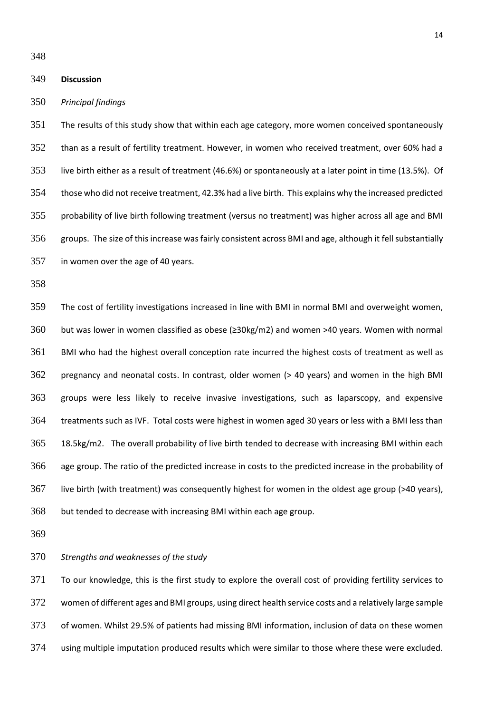## **Discussion**

#### *Principal findings*

 The results of this study show that within each age category, more women conceived spontaneously than as a result of fertility treatment. However, in women who received treatment, over 60% had a live birth either as a result of treatment (46.6%) or spontaneously at a later point in time (13.5%). Of those who did not receive treatment, 42.3% had a live birth. This explains why the increased predicted probability of live birth following treatment (versus no treatment) was higher across all age and BMI groups. The size of this increase was fairly consistent across BMI and age, although it fell substantially in women over the age of 40 years.

 The cost of fertility investigations increased in line with BMI in normal BMI and overweight women, but was lower in women classified as obese (≥30kg/m2) and women >40 years. Women with normal BMI who had the highest overall conception rate incurred the highest costs of treatment as well as pregnancy and neonatal costs. In contrast, older women (> 40 years) and women in the high BMI groups were less likely to receive invasive investigations, such as laparscopy, and expensive treatments such as IVF. Total costs were highest in women aged 30 years or less with a BMI less than 18.5kg/m2. The overall probability of live birth tended to decrease with increasing BMI within each age group. The ratio of the predicted increase in costs to the predicted increase in the probability of live birth (with treatment) was consequently highest for women in the oldest age group (>40 years), but tended to decrease with increasing BMI within each age group.

## *Strengths and weaknesses of the study*

 To our knowledge, this is the first study to explore the overall cost of providing fertility services to women of different ages and BMI groups, using direct health service costs and a relatively large sample of women. Whilst 29.5% of patients had missing BMI information, inclusion of data on these women using multiple imputation produced results which were similar to those where these were excluded.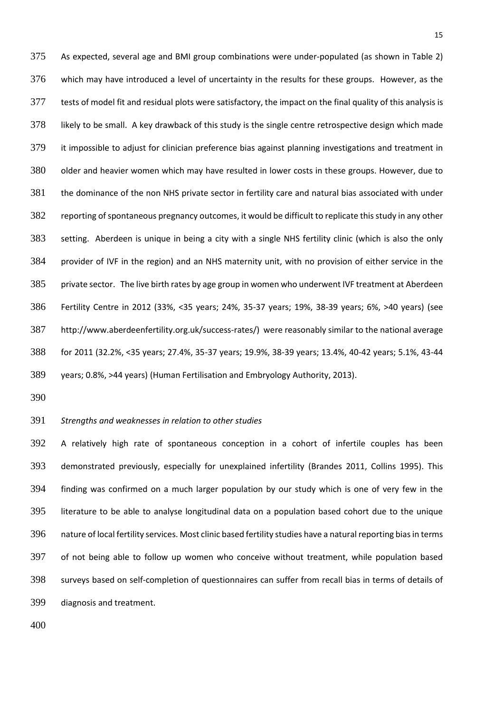As expected, several age and BMI group combinations were under-populated (as shown in Table 2) which may have introduced a level of uncertainty in the results for these groups. However, as the tests of model fit and residual plots were satisfactory, the impact on the final quality of this analysis is likely to be small. A key drawback of this study is the single centre retrospective design which made it impossible to adjust for clinician preference bias against planning investigations and treatment in older and heavier women which may have resulted in lower costs in these groups. However, due to the dominance of the non NHS private sector in fertility care and natural bias associated with under reporting of spontaneous pregnancy outcomes, it would be difficult to replicate this study in any other setting. Aberdeen is unique in being a city with a single NHS fertility clinic (which is also the only provider of IVF in the region) and an NHS maternity unit, with no provision of either service in the private sector. The live birth rates by age group in women who underwent IVF treatment at Aberdeen Fertility Centre in 2012 (33%, <35 years; 24%, 35-37 years; 19%, 38-39 years; 6%, >40 years) (see http://www.aberdeenfertility.org.uk/success-rates/) were reasonably similar to the national average for 2011 (32.2%, <35 years; 27.4%, 35-37 years; 19.9%, 38-39 years; 13.4%, 40-42 years; 5.1%, 43-44 years; 0.8%, >44 years) (Human Fertilisation and Embryology Authority, 2013).

#### *Strengths and weaknesses in relation to other studies*

 A relatively high rate of spontaneous conception in a cohort of infertile couples has been demonstrated previously, especially for unexplained infertility (Brandes 2011, Collins 1995). This finding was confirmed on a much larger population by our study which is one of very few in the literature to be able to analyse longitudinal data on a population based cohort due to the unique nature of local fertility services. Most clinic based fertility studies have a natural reporting bias in terms of not being able to follow up women who conceive without treatment, while population based surveys based on self-completion of questionnaires can suffer from recall bias in terms of details of diagnosis and treatment.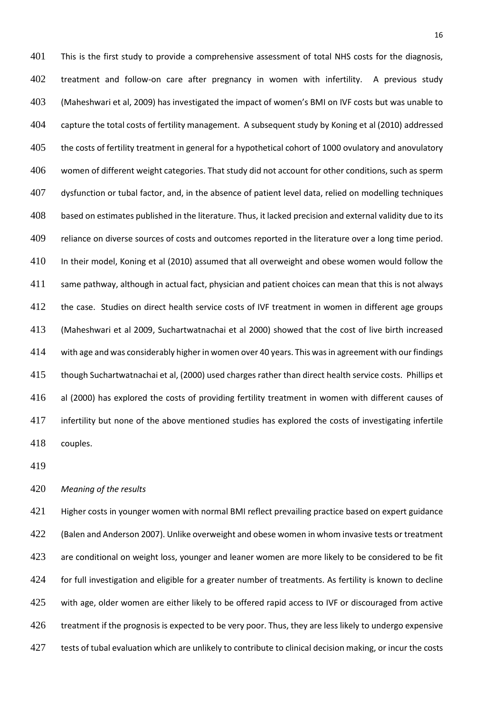This is the first study to provide a comprehensive assessment of total NHS costs for the diagnosis, treatment and follow-on care after pregnancy in women with infertility. A previous study (Maheshwari et al, 2009) has investigated the impact of women's BMI on IVF costs but was unable to capture the total costs of fertility management. A subsequent study by Koning et al (2010) addressed 405 the costs of fertility treatment in general for a hypothetical cohort of 1000 ovulatory and anovulatory women of different weight categories. That study did not account for other conditions, such as sperm dysfunction or tubal factor, and, in the absence of patient level data, relied on modelling techniques based on estimates published in the literature. Thus, it lacked precision and external validity due to its 409 reliance on diverse sources of costs and outcomes reported in the literature over a long time period. In their model, Koning et al (2010) assumed that all overweight and obese women would follow the same pathway, although in actual fact, physician and patient choices can mean that this is not always the case. Studies on direct health service costs of IVF treatment in women in different age groups (Maheshwari et al 2009, Suchartwatnachai et al 2000) showed that the cost of live birth increased with age and was considerably higher in women over 40 years. This was in agreement with our findings though Suchartwatnachai et al, (2000) used charges rather than direct health service costs. Phillips et al (2000) has explored the costs of providing fertility treatment in women with different causes of infertility but none of the above mentioned studies has explored the costs of investigating infertile couples.

## *Meaning of the results*

 Higher costs in younger women with normal BMI reflect prevailing practice based on expert guidance (Balen and Anderson 2007). Unlike overweight and obese women in whom invasive tests or treatment 423 are conditional on weight loss, younger and leaner women are more likely to be considered to be fit 424 for full investigation and eligible for a greater number of treatments. As fertility is known to decline 425 with age, older women are either likely to be offered rapid access to IVF or discouraged from active 426 treatment if the prognosis is expected to be very poor. Thus, they are less likely to undergo expensive tests of tubal evaluation which are unlikely to contribute to clinical decision making, or incur the costs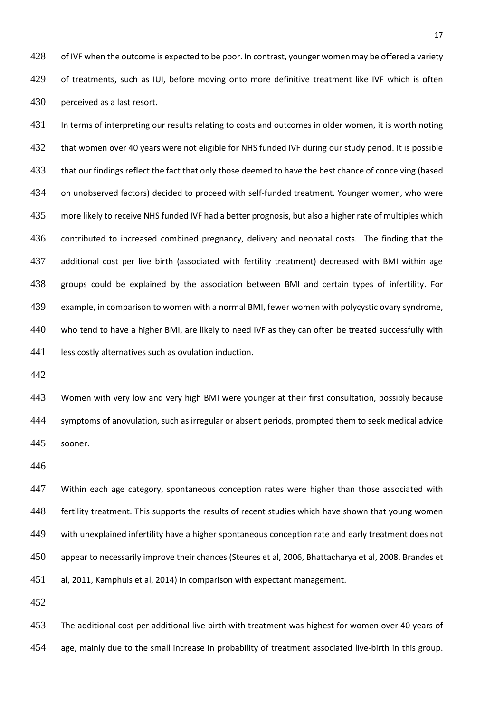428 of IVF when the outcome is expected to be poor. In contrast, younger women may be offered a variety 429 of treatments, such as IUI, before moving onto more definitive treatment like IVF which is often perceived as a last resort.

431 In terms of interpreting our results relating to costs and outcomes in older women, it is worth noting 432 that women over 40 years were not eligible for NHS funded IVF during our study period. It is possible 433 that our findings reflect the fact that only those deemed to have the best chance of conceiving (based on unobserved factors) decided to proceed with self-funded treatment. Younger women, who were more likely to receive NHS funded IVF had a better prognosis, but also a higher rate of multiples which 436 contributed to increased combined pregnancy, delivery and neonatal costs. The finding that the additional cost per live birth (associated with fertility treatment) decreased with BMI within age groups could be explained by the association between BMI and certain types of infertility. For example, in comparison to women with a normal BMI, fewer women with polycystic ovary syndrome, who tend to have a higher BMI, are likely to need IVF as they can often be treated successfully with 441 less costly alternatives such as ovulation induction.

443 Women with very low and very high BMI were younger at their first consultation, possibly because symptoms of anovulation, such as irregular or absent periods, prompted them to seek medical advice sooner.

447 Within each age category, spontaneous conception rates were higher than those associated with 448 fertility treatment. This supports the results of recent studies which have shown that young women with unexplained infertility have a higher spontaneous conception rate and early treatment does not appear to necessarily improve their chances (Steures et al, 2006, Bhattacharya et al, 2008, Brandes et al, 2011, Kamphuis et al, 2014) in comparison with expectant management.

 The additional cost per additional live birth with treatment was highest for women over 40 years of age, mainly due to the small increase in probability of treatment associated live-birth in this group.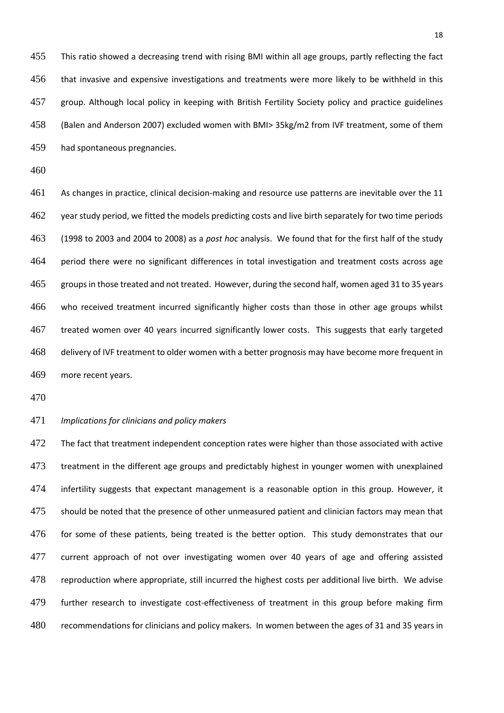This ratio showed a decreasing trend with rising BMI within all age groups, partly reflecting the fact that invasive and expensive investigations and treatments were more likely to be withheld in this group. Although local policy in keeping with British Fertility Society policy and practice guidelines (Balen and Anderson 2007) excluded women with BMI> 35kg/m2 from IVF treatment, some of them had spontaneous pregnancies.

 As changes in practice, clinical decision-making and resource use patterns are inevitable over the 11 462 year study period, we fitted the models predicting costs and live birth separately for two time periods (1998 to 2003 and 2004 to 2008) as a *post hoc* analysis. We found that for the first half of the study period there were no significant differences in total investigation and treatment costs across age groups in those treated and not treated. However, during the second half, women aged 31 to 35 years who received treatment incurred significantly higher costs than those in other age groups whilst treated women over 40 years incurred significantly lower costs. This suggests that early targeted 468 delivery of IVF treatment to older women with a better prognosis may have become more frequent in more recent years.

#### *Implications for clinicians and policy makers*

472 The fact that treatment independent conception rates were higher than those associated with active treatment in the different age groups and predictably highest in younger women with unexplained 474 infertility suggests that expectant management is a reasonable option in this group. However, it 475 should be noted that the presence of other unmeasured patient and clinician factors may mean that 476 for some of these patients, being treated is the better option. This study demonstrates that our 477 current approach of not over investigating women over 40 years of age and offering assisted reproduction where appropriate, still incurred the highest costs per additional live birth. We advise further research to investigate cost-effectiveness of treatment in this group before making firm recommendations for clinicians and policy makers. In women between the ages of 31 and 35 years in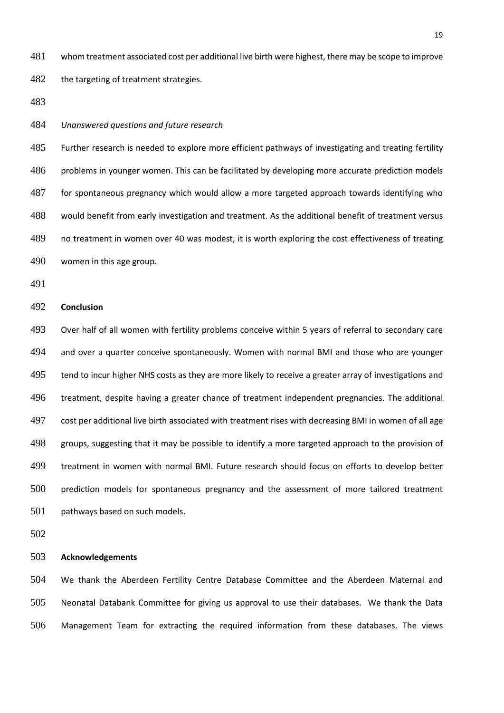whom treatment associated cost per additional live birth were highest, there may be scope to improve

482 the targeting of treatment strategies.

*Unanswered questions and future research*

 Further research is needed to explore more efficient pathways of investigating and treating fertility problems in younger women. This can be facilitated by developing more accurate prediction models 487 for spontaneous pregnancy which would allow a more targeted approach towards identifying who would benefit from early investigation and treatment. As the additional benefit of treatment versus no treatment in women over 40 was modest, it is worth exploring the cost effectiveness of treating women in this age group.

#### **Conclusion**

 Over half of all women with fertility problems conceive within 5 years of referral to secondary care 494 and over a quarter conceive spontaneously. Women with normal BMI and those who are younger 495 tend to incur higher NHS costs as they are more likely to receive a greater array of investigations and treatment, despite having a greater chance of treatment independent pregnancies. The additional cost per additional live birth associated with treatment rises with decreasing BMI in women of all age groups, suggesting that it may be possible to identify a more targeted approach to the provision of treatment in women with normal BMI. Future research should focus on efforts to develop better prediction models for spontaneous pregnancy and the assessment of more tailored treatment pathways based on such models.

## **Acknowledgements**

 We thank the Aberdeen Fertility Centre Database Committee and the Aberdeen Maternal and Neonatal Databank Committee for giving us approval to use their databases. We thank the Data Management Team for extracting the required information from these databases. The views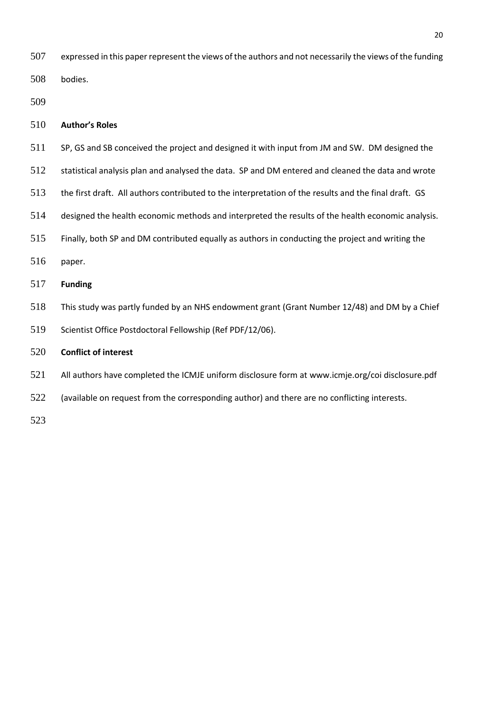expressed in this paper represent the views of the authors and not necessarily the views of the funding bodies.

## **Author's Roles**

- SP, GS and SB conceived the project and designed it with input from JM and SW. DM designed the
- statistical analysis plan and analysed the data. SP and DM entered and cleaned the data and wrote
- the first draft. All authors contributed to the interpretation of the results and the final draft. GS
- designed the health economic methods and interpreted the results of the health economic analysis.
- Finally, both SP and DM contributed equally as authors in conducting the project and writing the
- paper.

# **Funding**

- This study was partly funded by an NHS endowment grant (Grant Number 12/48) and DM by a Chief
- Scientist Office Postdoctoral Fellowship (Ref PDF/12/06).

## **Conflict of interest**

- All authors have completed the ICMJE uniform disclosure form at www.icmje.org/coi disclosure.pdf
- 522 (available on request from the corresponding author) and there are no conflicting interests.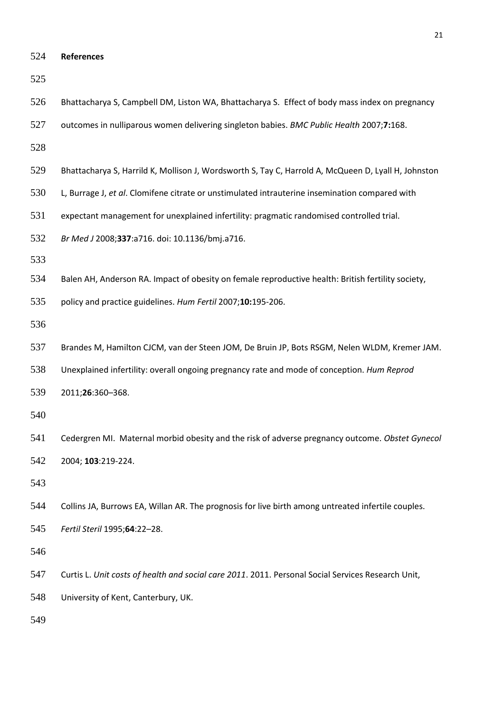- 
- Bhattacharya S, Campbell DM, Liston WA, Bhattacharya S. Effect of body mass index on pregnancy
- outcomes in nulliparous women delivering singleton babies. *BMC Public Health* 2007;**7:**168.
- 
- Bhattacharya S, Harrild K, Mollison J, Wordsworth S, Tay C, Harrold A, McQueen D, Lyall H, Johnston
- L, Burrage J, *et al*. Clomifene citrate or unstimulated intrauterine insemination compared with
- expectant management for unexplained infertility: pragmatic randomised controlled trial.
- *Br Med J* 2008;**337**:a716. doi: 10.1136/bmj.a716.
- 
- Balen AH, Anderson RA. Impact of obesity on female reproductive health: British fertility society,
- policy and practice guidelines. *Hum Fertil* 2007;**10:**195-206.
- 
- Brandes M, Hamilton CJCM, van der Steen JOM, De Bruin JP, Bots RSGM, Nelen WLDM, Kremer JAM.
- Unexplained infertility: overall ongoing pregnancy rate and mode of conception. *Hum Reprod*
- 2011;**26**:360–368.
- 
- Cedergren MI. Maternal morbid obesity and the risk of adverse pregnancy outcome. *Obstet Gynecol* 2004; **103**:219-224.
- 
- Collins JA, Burrows EA, Willan AR. The prognosis for live birth among untreated infertile couples.
- *Fertil Steril* 1995;**64**:22–28.

- Curtis L. *Unit costs of health and social care 2011*. 2011. Personal Social Services Research Unit,
- University of Kent, Canterbury, UK.
-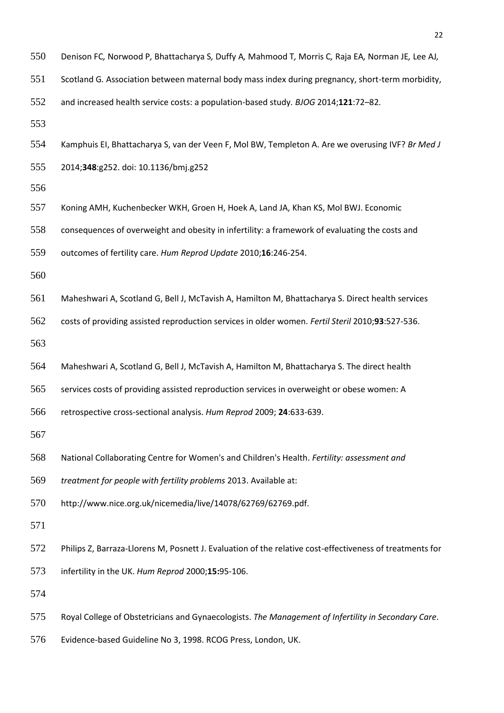- Scotland G*.* Association between maternal body mass index during pregnancy, short-term morbidity,
- and increased health service costs: a population-based study*. BJOG* 2014;**121**:72*–*82*.*
- 
- Kamphuis EI, Bhattacharya S, van der Veen F, Mol BW, Templeton A. Are we overusing IVF? *Br Med J*
- 2014;**348**:g252. doi: 10.1136/bmj.g252
- 
- Koning AMH, Kuchenbecker WKH, Groen H, Hoek A, Land JA, Khan KS, Mol BWJ. Economic
- consequences of overweight and obesity in infertility: a framework of evaluating the costs and
- outcomes of fertility care. *Hum Reprod Update* 2010;**16**:246-254.
- 
- Maheshwari A, Scotland G, Bell J, McTavish A, Hamilton M, Bhattacharya S. Direct health services
- costs of providing assisted reproduction services in older women. *Fertil Steril* 2010;**93**:527-536.
- 
- Maheshwari A, Scotland G, Bell J, McTavish A, Hamilton M, Bhattacharya S. The direct health
- services costs of providing assisted reproduction services in overweight or obese women: A
- retrospective cross-sectional analysis. *Hum Reprod* 2009; **24**:633-639.
- 
- National Collaborating Centre for Women's and Children's Health. *Fertility: assessment and*
- *treatment for people with fertility problems* 2013. Available at:
- http://www.nice.org.uk/nicemedia/live/14078/62769/62769.pdf.
- 
- Philips Z, Barraza-Llorens M, Posnett J. Evaluation of the relative cost-effectiveness of treatments for
- infertility in the UK. *Hum Reprod* 2000;**15:**95-106.
- 
- Royal College of Obstetricians and Gynaecologists. *The Management of Infertility in Secondary Care*.
- Evidence-based Guideline No 3, 1998. RCOG Press, London, UK.